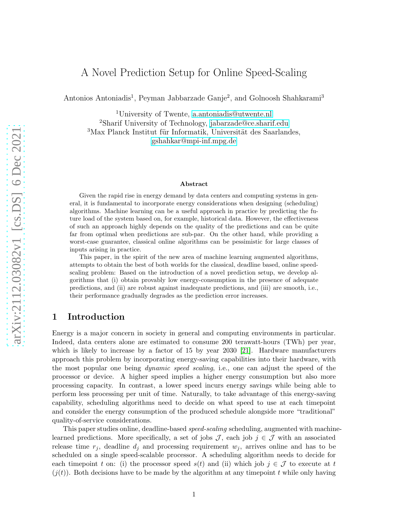# A Novel Prediction Setup for Online Speed-Scaling

Antonios Antoniadis<sup>1</sup>, Peyman Jabbarzade Ganje<sup>2</sup>, and Golnoosh Shahkarami<sup>3</sup>

<sup>1</sup>University of Twente, [a.antoniadis@utwente.nl](mailto:a.antoniadis@utwente.nl) <sup>2</sup>Sharif University of Technology, [jabarzade@ce.sharif.edu](mailto:jabarzade@ce.sharif.edu)  ${}^{3}\mathrm{Max}$  Planck Institut für Informatik, Universität des Saarlandes, [gshahkar@mpi-inf.mpg.de](mailto:gshahkar@mpi-inf.mpg.de)

#### Abstract

Given the rapid rise in energy demand by data centers and computing systems in general, it is fundamental to incorporate energy considerations when designing (scheduling) algorithms. Machine learning can be a useful approach in practice by predicting the future load of the system based on, for example, historical data. However, the effectiveness of such an approach highly depends on the quality of the predictions and can be quite far from optimal when predictions are sub-par. On the other hand, while providing a worst-case guarantee, classical online algorithms can be pessimistic for large classes of inputs arising in practice.

This paper, in the spirit of the new area of machine learning augmented algorithms, attempts to obtain the best of both worlds for the classical, deadline based, online speedscaling problem: Based on the introduction of a novel prediction setup, we develop algorithms that (i) obtain provably low energy-consumption in the presence of adequate predictions, and (ii) are robust against inadequate predictions, and (iii) are smooth, i.e., their performance gradually degrades as the prediction error increases.

# 1 Introduction

Energy is a major concern in society in general and computing environments in particular. Indeed, data centers alone are estimated to consume 200 terawatt-hours (TWh) per year, which is likely to increase by a factor of 15 by year 2030 [\[21\]](#page-20-0). Hardware manufacturers approach this problem by incorporating energy-saving capabilities into their hardware, with the most popular one being *dynamic speed scaling*, i.e., one can adjust the speed of the processor or device. A higher speed implies a higher energy consumption but also more processing capacity. In contrast, a lower speed incurs energy savings while being able to perform less processing per unit of time. Naturally, to take advantage of this energy-saving capability, scheduling algorithms need to decide on what speed to use at each timepoint and consider the energy consumption of the produced schedule alongside more "traditional" quality-of-service considerations.

This paper studies online, deadline-based *speed-scaling* scheduling, augmented with machinelearned predictions. More specifically, a set of jobs  $\mathcal{J}$ , each job  $j \in \mathcal{J}$  with an associated release time  $r_j$ , deadline  $d_j$  and processing requirement  $w_j$ , arrives online and has to be scheduled on a single speed-scalable processor. A scheduling algorithm needs to decide for each timepoint t on: (i) the processor speed  $s(t)$  and (ii) which job  $j \in \mathcal{J}$  to execute at t  $(j(t))$ . Both decisions have to be made by the algorithm at any timepoint t while only having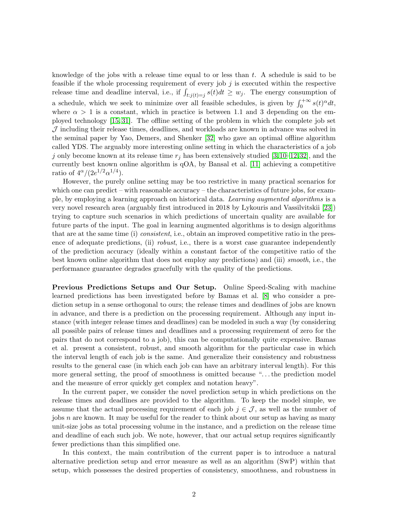knowledge of the jobs with a release time equal to or less than  $t$ . A schedule is said to be feasible if the whole processing requirement of every job  $j$  is executed within the respective release time and deadline interval, i.e., if  $\int_{t:j(t)=j} s(t)dt \geq w_j$ . The energy consumption of a schedule, which we seek to minimize over all feasible schedules, is given by  $\int_0^{+\infty} s(t)^{\alpha} dt$ , where  $\alpha > 1$  is a constant, which in practice is between 1.1 and 3 depending on the employed technology [\[15,](#page-19-0) [31\]](#page-20-1). The offline setting of the problem in which the complete job set  $J$  including their release times, deadlines, and workloads are known in advance was solved in the seminal paper by Yao, Demers, and Shenker [\[32\]](#page-20-2) who gave an optimal offline algorithm called YDS. The arguably more interesting online setting in which the characteristics of a job j only become known at its release time  $r_j$  has been extensively studied [\[3,](#page-18-0)[10](#page-19-1)[–12,](#page-19-2)[32\]](#page-20-2), and the currently best known online algorithm is qOA, by Bansal et al. [\[11\]](#page-19-3) achieving a competitive ratio of  $4^{\alpha}/(2e^{1/2}\alpha^{1/4})$ .

However, the purely online setting may be too restrictive in many practical scenarios for which one can predict – with reasonable accuracy – the characteristics of future jobs, for example, by employing a learning approach on historical data. *Learning augmented algorithms* is a very novel research area (arguably first introduced in 2018 by Lykouris and Vassilvitskii [\[23\]](#page-20-3)) trying to capture such scenarios in which predictions of uncertain quality are available for future parts of the input. The goal in learning augmented algorithms is to design algorithms that are at the same time (i) *consistent*, i.e., obtain an improved competitive ratio in the presence of adequate predictions, (ii) *robust*, i.e., there is a worst case guarantee independently of the prediction accuracy (ideally within a constant factor of the competitive ratio of the best known online algorithm that does not employ any predictions) and (iii) *smooth*, i.e., the performance guarantee degrades gracefully with the quality of the predictions.

Previous Predictions Setups and Our Setup. Online Speed-Scaling with machine learned predictions has been investigated before by Bamas et al. [\[8\]](#page-19-4) who consider a prediction setup in a sense orthogonal to ours; the release times and deadlines of jobs are known in advance, and there is a prediction on the processing requirement. Although any input instance (with integer release times and deadlines) can be modeled in such a way (by considering all possible pairs of release times and deadlines and a processing requirement of zero for the pairs that do not correspond to a job), this can be computationally quite expensive. Bamas et al. present a consistent, robust, and smooth algorithm for the particular case in which the interval length of each job is the same. And generalize their consistency and robustness results to the general case (in which each job can have an arbitrary interval length). For this more general setting, the proof of smoothness is omitted because ". . . the prediction model and the measure of error quickly get complex and notation heavy".

In the current paper, we consider the novel prediction setup in which predictions on the release times and deadlines are provided to the algorithm. To keep the model simple, we assume that the actual processing requirement of each job  $j \in \mathcal{J}$ , as well as the number of jobs  $n$  are known. It may be useful for the reader to think about our setup as having as many unit-size jobs as total processing volume in the instance, and a prediction on the release time and deadline of each such job. We note, however, that our actual setup requires significantly fewer predictions than this simplified one.

In this context, the main contribution of the current paper is to introduce a natural alternative prediction setup and error measure as well as an algorithm (SwP) within that setup, which possesses the desired properties of consistency, smoothness, and robustness in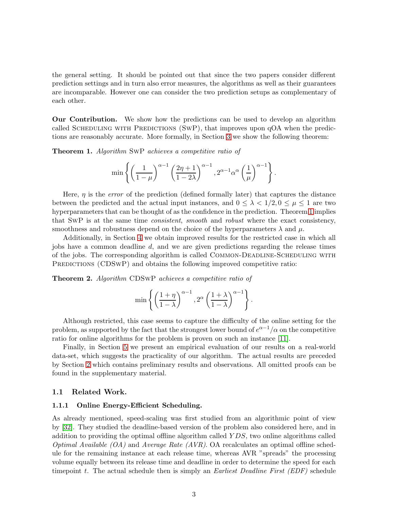the general setting. It should be pointed out that since the two papers consider different prediction settings and in turn also error measures, the algorithms as well as their guarantees are incomparable. However one can consider the two prediction setups as complementary of each other.

Our Contribution. We show how the predictions can be used to develop an algorithm called SCHEDULING WITH PREDICTIONS (SWP), that improves upon  $qOA$  when the predictions are reasonably accurate. More formally, in Section [3](#page-7-0) we show the following theorem:

<span id="page-2-0"></span>Theorem 1. *Algorithm* SwP *achieves a competitive ratio of*

$$
\min\left\{\left(\frac{1}{1-\mu}\right)^{\alpha-1}\left(\frac{2\eta+1}{1-2\lambda}\right)^{\alpha-1}, 2^{\alpha-1}\alpha^{\alpha}\left(\frac{1}{\mu}\right)^{\alpha-1}\right\}.
$$

Here,  $\eta$  is the *error* of the prediction (defined formally later) that captures the distance between the predicted and the actual input instances, and  $0 \leq \lambda < 1/2, 0 \leq \mu \leq 1$  are two hyperparameters that can be thought of as the confidence in the prediction. Theorem [1](#page-2-0) implies that SwP is at the same time *consistent*, *smooth* and *robust* where the exact consistency, smoothness and robustness depend on the choice of the hyperparameters  $\lambda$  and  $\mu$ .

Additionally, in Section [4](#page-10-0) we obtain improved results for the restricted case in which all jobs have a common deadline d, and we are given predictions regarding the release times of the jobs. The corresponding algorithm is called Common-Deadline-Scheduling with PREDICTIONS (CDSWP) and obtains the following improved competitive ratio:

<span id="page-2-1"></span>Theorem 2. *Algorithm* CDSwP *achieves a competitive ratio of*

$$
\min\left\{\left(\frac{1+\eta}{1-\lambda}\right)^{\alpha-1}, 2^{\alpha}\left(\frac{1+\lambda}{1-\lambda}\right)^{\alpha-1}\right\}.
$$

Although restricted, this case seems to capture the difficulty of the online setting for the problem, as supported by the fact that the strongest lower bound of  $e^{\alpha-1}/\alpha$  on the competitive ratio for online algorithms for the problem is proven on such an instance [\[11\]](#page-19-3).

Finally, in Section [5](#page-16-0) we present an empirical evaluation of our results on a real-world data-set, which suggests the practicality of our algorithm. The actual results are preceded by Section [2](#page-3-0) which contains preliminary results and observations. All omitted proofs can be found in the supplementary material.

#### 1.1 Related Work.

#### 1.1.1 Online Energy-Efficient Scheduling.

As already mentioned, speed-scaling was first studied from an algorithmic point of view by [\[32\]](#page-20-2). They studied the deadline-based version of the problem also considered here, and in addition to providing the optimal offline algorithm called Y DS, two online algorithms called *Optimal Available (OA)* and *Average Rate (AVR)*. OA recalculates an optimal offline schedule for the remaining instance at each release time, whereas AVR "spreads" the processing volume equally between its release time and deadline in order to determine the speed for each timepoint t. The actual schedule then is simply an *Earliest Deadline First (EDF)* schedule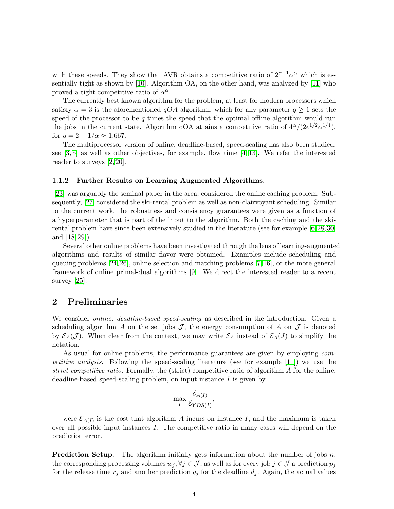with these speeds. They show that AVR obtains a competitive ratio of  $2^{\alpha-1}\alpha^{\alpha}$  which is essentially tight as shown by [\[10\]](#page-19-1). Algorithm OA, on the other hand, was analyzed by [\[11\]](#page-19-3) who proved a tight competitive ratio of  $\alpha^{\alpha}$ .

The currently best known algorithm for the problem, at least for modern processors which satisfy  $\alpha = 3$  is the aforementioned qOA algorithm, which for any parameter  $q \ge 1$  sets the speed of the processor to be  $q$  times the speed that the optimal offline algorithm would run the jobs in the current state. Algorithm qOA attains a competitive ratio of  $4^{\alpha}/(2e^{1/2}\alpha^{1/4}),$ for  $q = 2 - 1/\alpha \approx 1.667$ .

The multiprocessor version of online, deadline-based, speed-scaling has also been studied, see  $\left[3, 5\right]$  as well as other objectives, for example, flow time  $\left[4, 13\right]$ . We refer the interested reader to surveys [\[2,](#page-18-2) [20\]](#page-19-7).

#### 1.1.2 Further Results on Learning Augmented Algorithms.

[\[23\]](#page-20-3) was arguably the seminal paper in the area, considered the online caching problem. Subsequently, [\[27\]](#page-20-4) considered the ski-rental problem as well as non-clairvoyant scheduling. Similar to the current work, the robustness and consistency guarantees were given as a function of a hyperparameter that is part of the input to the algorithm. Both the caching and the skirental problem have since been extensively studied in the literature (see for example [\[6,](#page-19-8)[28,](#page-20-5)[30\]](#page-20-6) and [\[18,](#page-19-9) [29\]](#page-20-7)).

Several other online problems have been investigated through the lens of learning-augmented algorithms and results of similar flavor were obtained. Examples include scheduling and queuing problems [\[24,](#page-20-8)[26\]](#page-20-9), online selection and matching problems [\[7,](#page-19-10)[16\]](#page-19-11), or the more general framework of online primal-dual algorithms [\[9\]](#page-19-12). We direct the interested reader to a recent survey [\[25\]](#page-20-10).

# <span id="page-3-0"></span>2 Preliminaries

We consider *online, deadline-based speed-scaling* as described in the introduction. Given a scheduling algorithm A on the set jobs  $\mathcal{J}$ , the energy consumption of A on  $\mathcal{J}$  is denoted by  $\mathcal{E}_A(\mathcal{J})$ . When clear from the context, we may write  $\mathcal{E}_A$  instead of  $\mathcal{E}_A(J)$  to simplify the notation.

As usual for online problems, the performance guarantees are given by employing *competitive analysis*. Following the speed-scaling literature (see for example [\[11\]](#page-19-3)) we use the *strict competitive ratio*. Formally, the (strict) competitive ratio of algorithm A for the online, deadline-based speed-scaling problem, on input instance  $I$  is given by

$$
\max_{I} \frac{\mathcal{E}_{A(I)}}{\mathcal{E}_{YDS(I)}},
$$

were  $\mathcal{E}_{A(I)}$  is the cost that algorithm A incurs on instance I, and the maximum is taken over all possible input instances  $I$ . The competitive ratio in many cases will depend on the prediction error.

**Prediction Setup.** The algorithm initially gets information about the number of jobs  $n$ , the corresponding processing volumes  $w_j, \forall j \in \mathcal{J}$ , as well as for every job  $j \in \mathcal{J}$  a prediction  $p_j$ for the release time  $r_j$  and another prediction  $q_j$  for the deadline  $d_j$ . Again, the actual values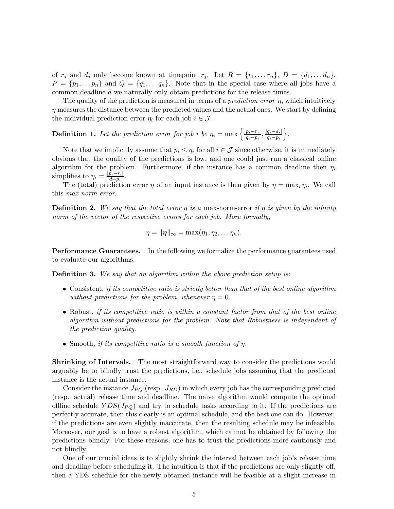of  $r_j$  and  $d_j$  only become known at timepoint  $r_j$ . Let  $R = \{r_1, \ldots r_n\}$ ,  $D = \{d_1, \ldots d_n\}$ ,  $P = \{p_1, \ldots, p_n\}$  and  $Q = \{q_1, \ldots, q_n\}$ . Note that in the special case where all jobs have a common deadline d we naturally only obtain predictions for the release times.

The quality of the prediction is measured in terms of a *prediction error* η, which intuitively  $\eta$  measures the distance between the predicted values and the actual ones. We start by defining the individual prediction error  $\eta_i$  for each job  $i \in \mathcal{J}$ .

**Definition 1.** Let the prediction error for job i be  $\eta_i = \max \left\{ \frac{|p_i - r_i|}{q_i - p_i} \right\}$  $\frac{p_i-r_i|}{q_i-p_i}, \frac{|q_i-d_i|}{q_i-p_i}$  $\frac{q_i-d_i|}{q_i-p_i}\bigg\}$  .

Note that we implicitly assume that  $p_i \le q_i$  for all  $i \in \mathcal{J}$  since otherwise, it is immediately obvious that the quality of the predictions is low, and one could just run a classical online algorithm for the problem. Furthermore, if the instance has a common deadline then  $\eta_i$ simplifies to  $\eta_i = \frac{|\bar{p}_i - r_i|}{d - p_i}$  $\frac{p_i-r_i}{d-p_i}$ .

The (total) prediction error  $\eta$  of an input instance is then given by  $\eta = \max_i \eta_i$ . We call this *max-norm-error*.

**Definition 2.** We say that the total error  $\eta$  is a max-norm-error if  $\eta$  is given by the infinity *norm of the vector of the respective errors for each job. More formally,*

$$
\eta=\|\boldsymbol{\eta}\|_{\infty}=\max(\eta_1,\eta_2,\ldots\eta_n).
$$

Performance Guarantees. In the following we formalize the performance guarantees used to evaluate our algorithms.

Definition 3. *We say that an algorithm within the above prediction setup is:*

- Consistent, *if its competitive ratio is strictly better than that of the best online algorithm without predictions for the problem, whenever*  $\eta = 0$ *.*
- Robust, *if its competitive ratio is within a constant factor from that of the best online algorithm without predictions for the problem. Note that Robustness is independent of the prediction quality.*
- Smooth, *if its competitive ratio is a smooth function of* η*.*

Shrinking of Intervals. The most straightforward way to consider the predictions would arguably be to blindly trust the predictions, i.e., schedule jobs assuming that the predicted instance is the actual instance.

Consider the instance  $J_{PQ}$  (resp.  $J_{RD}$ ) in which every job has the corresponding predicted (resp. actual) release time and deadline. The naive algorithm would compute the optimal offline schedule  $YDS(J_{PQ})$  and try to schedule tasks according to it. If the predictions are perfectly accurate, then this clearly is an optimal schedule, and the best one can do. However, if the predictions are even slightly inaccurate, then the resulting schedule may be infeasible. Moreover, our goal is to have a robust algorithm, which cannot be obtained by following the predictions blindly. For these reasons, one has to trust the predictions more cautiously and not blindly.

One of our crucial ideas is to slightly shrink the interval between each job's release time and deadline before scheduling it. The intuition is that if the predictions are only slightly off, then a YDS schedule for the newly obtained instance will be feasible at a slight increase in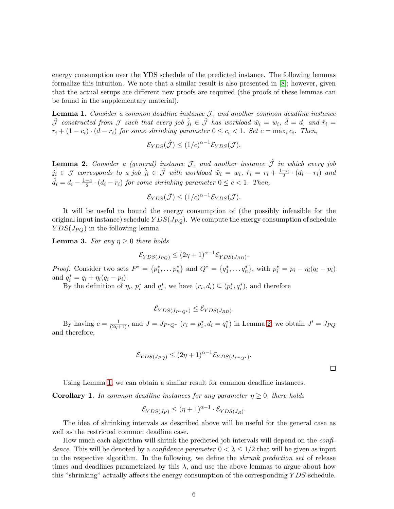energy consumption over the YDS schedule of the predicted instance. The following lemmas formalize this intuition. We note that a similar result is also presented in [\[8\]](#page-19-4); however, given that the actual setups are different new proofs are required (the proofs of these lemmas can be found in the supplementary material).

<span id="page-5-1"></span>Lemma 1. *Consider a common deadline instance* J, and another common deadline instance  $\hat{\mathcal{J}}$  constructed from  $\mathcal J$  such that every job  $\hat{j}_i \in \hat{\mathcal{J}}$  has workload  $\hat{w}_i = w_i$ ,  $\hat{d} = d$ , and  $\hat{r}_i =$  $r_i + (1 - c_i) \cdot (d - r_i)$  for some shrinking parameter  $0 \le c_i < 1$ . Set  $c = \max_i c_i$ . Then,

$$
\mathcal{E}_{YDS}(\hat{\mathcal{J}}) \le (1/c)^{\alpha - 1} \mathcal{E}_{YDS}(\mathcal{J}).
$$

<span id="page-5-0"></span>**Lemma 2.** *Consider a (general) instance*  $\mathcal{J}$ *, and another instance*  $\hat{\mathcal{J}}$  *in which every job*  $j_i \in \mathcal{J}$  corresponds to a job  $\hat{j}_i \in \hat{\mathcal{J}}$  with workload  $\hat{w}_i = w_i$ ,  $\hat{r}_i = r_i + \frac{1-c_i}{2}$  $\frac{-c}{2} \cdot (d_i - r_i)$  and  $\hat{d}_i = d_i - \frac{1-c}{2} \cdot (d_i - r_i)$  *for some shrinking parameter*  $0 \leq c < 1$ *. Then,* 

$$
\mathcal{E}_{YDS}(\hat{\mathcal{J}}) \le (1/c)^{\alpha - 1} \mathcal{E}_{YDS}(\mathcal{J}).
$$

It will be useful to bound the energy consumption of (the possibly infeasible for the original input instance) schedule  $YDS(J_{PQ})$ . We compute the energy consumption of schedule  $YDS(J_{PQ})$  in the following lemma.

<span id="page-5-2"></span>**Lemma 3.** For any  $\eta \geq 0$  there holds

$$
\mathcal{E}_{YDS(J_{PQ})} \le (2\eta + 1)^{\alpha - 1} \mathcal{E}_{YDS(J_{RD})}.
$$

*Proof.* Consider two sets  $P^* = \{p_1^*, \ldots p_n^*\}$  and  $Q^* = \{q_1^*, \ldots q_n^*\}$ , with  $p_i^* = p_i - \eta_i(q_i - p_i)$ and  $q_i^* = q_i + \eta_i (q_i - p_i)$ .

By the definition of  $\eta_i$ ,  $p_i^*$  and  $q_i^*$ , we have  $(r_i, d_i) \subseteq (p_i^*, q_i^*)$ , and therefore

$$
\mathcal{E}_{YDS(J_{P^*Q^*})} \leq \mathcal{E}_{YDS(J_{RD})}.
$$

By having  $c = \frac{1}{(2\eta+1)}$ , and  $J = J_{P^*Q^*}$   $(r_i = p_i^*, d_i = q_i^*)$  in Lemma [2,](#page-5-0) we obtain  $J' = J_{PQ}$ and therefore,

$$
\mathcal{E}_{YDS(J_{PQ})} \le (2\eta + 1)^{\alpha - 1} \mathcal{E}_{YDS(J_{P^*Q^*})}.
$$

 $\Box$ 

<span id="page-5-3"></span>Using Lemma [1,](#page-5-1) we can obtain a similar result for common deadline instances.

**Corollary 1.** In common deadline instances for any parameter  $\eta \geq 0$ , there holds

$$
\mathcal{E}_{YDS(J_P)} \leq (\eta + 1)^{\alpha - 1} \cdot \mathcal{E}_{YDS(J_R)}.
$$

The idea of shrinking intervals as described above will be useful for the general case as well as the restricted common deadline case.

How much each algorithm will shrink the predicted job intervals will depend on the *confidence*. This will be denoted by a *confidence parameter*  $0 < \lambda \leq 1/2$  that will be given as input to the respective algorithm. In the following, we define the *shrunk prediction set* of release times and deadlines parametrized by this  $\lambda$ , and use the above lemmas to argue about how this "shrinking" actually affects the energy consumption of the corresponding Y DS-schedule.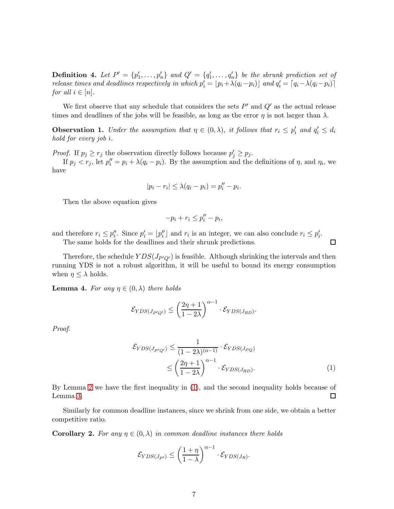**Definition 4.** Let  $P' = \{p'_1, \ldots, p'_n\}$  and  $Q' = \{q'_1, \ldots, q'_n\}$  be the shrunk prediction set of *release times and deadlines respectively in which*  $p'_i = [p_i + \lambda(q_i - p_i)]$  *and*  $q'_i = [q_i - \lambda(q_i - p_i)]$ *for all*  $i \in [n]$ *.* 

<span id="page-6-1"></span>We first observe that any schedule that considers the sets  $P'$  and  $Q'$  as the actual release times and deadlines of the jobs will be feasible, as long as the error  $\eta$  is not larger than  $\lambda$ .

**Observation 1.** *Under the assumption that*  $\eta \in (0, \lambda)$ *, it follows that*  $r_i \leq p'_i$  *and*  $q'_i \leq d_i$ *hold for every job* i*.*

*Proof.* If  $p_j \ge r_j$  the observation directly follows because  $p'_j \ge p_j$ .

If  $p_j < r_j$ , let  $p_i'' = p_i + \lambda (q_i - p_i)$ . By the assumption and the definitions of  $\eta$ , and  $\eta_i$ , we have

$$
|p_i - r_i| \leq \lambda (q_i - p_i) = p''_i - p_i.
$$

Then the above equation gives

$$
-p_i + r_i \le p''_i - p_i,
$$

and therefore  $r_i \leq p''_i$ . Since  $p'_i = \lfloor p''_i \rfloor$  and  $r_i$  is an integer, we can also conclude  $r_i \leq p'_i$ .

The same holds for the deadlines and their shrunk predictions.

Therefore, the schedule  $YDS(J_{P'Q'})$  is feasible. Although shrinking the intervals and then running YDS is not a robust algorithm, it will be useful to bound its energy consumption when  $\eta \leq \lambda$  holds.

<span id="page-6-2"></span>**Lemma 4.** For any  $\eta \in (0, \lambda)$  there holds

$$
\mathcal{E}_{YDS(J_{P'Q'})} \le \left(\frac{2\eta+1}{1-2\lambda}\right)^{\alpha-1} \cdot \mathcal{E}_{YDS(J_{RD})}.
$$

*Proof.*

$$
\mathcal{E}_{YDS(J_{P'Q'})} \leq \frac{1}{(1 - 2\lambda)^{(\alpha - 1)}} \cdot \mathcal{E}_{YDS(J_{PQ})}
$$

$$
\leq \left(\frac{2\eta + 1}{1 - 2\lambda}\right)^{\alpha - 1} \cdot \mathcal{E}_{YDS(J_{RD})}.
$$
 (1)

<span id="page-6-0"></span> $\Box$ 

By Lemma [2](#page-5-0) we have the first inequality in [\(1\)](#page-6-0), and the second inequality holds because of Lemma [3.](#page-5-2)  $\Box$ 

<span id="page-6-3"></span>Similarly for common deadline instances, since we shrink from one side, we obtain a better competitive ratio.

**Corollary 2.** For any  $\eta \in (0, \lambda)$  in common deadline instances there holds

$$
\mathcal{E}_{YDS(J_{P'})} \le \left(\frac{1+\eta}{1-\lambda}\right)^{\alpha-1} \cdot \mathcal{E}_{YDS(J_R)}.
$$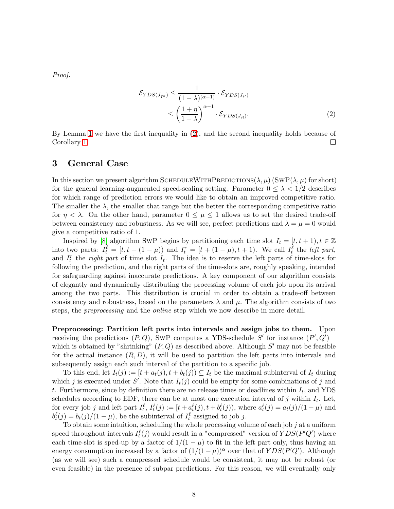*Proof.*

<span id="page-7-1"></span>
$$
\mathcal{E}_{YDS(J_{P'})} \leq \frac{1}{(1-\lambda)^{(\alpha-1)}} \cdot \mathcal{E}_{YDS(J_P)} \n\leq \left(\frac{1+\eta}{1-\lambda}\right)^{\alpha-1} \cdot \mathcal{E}_{YDS(J_R)}.
$$
\n(2)

By Lemma [1](#page-5-1) we have the first inequality in [\(2\)](#page-7-1), and the second inequality holds because of Corollary [1.](#page-5-3) □

### <span id="page-7-0"></span>3 General Case

In this section we present algorithm SCHEDULEWITHPREDICTIONS( $\lambda, \mu$ ) (SWP( $\lambda, \mu$ ) for short) for the general learning-augmented speed-scaling setting. Parameter  $0 \leq \lambda < 1/2$  describes for which range of prediction errors we would like to obtain an improved competitive ratio. The smaller the  $\lambda$ , the smaller that range but the better the corresponding competitive ratio for  $\eta < \lambda$ . On the other hand, parameter  $0 \leq \mu \leq 1$  allows us to set the desired trade-off between consistency and robustness. As we will see, perfect predictions and  $\lambda = \mu = 0$  would give a competitive ratio of 1.

Inspired by [\[8\]](#page-19-4) algorithm SwP begins by partitioning each time slot  $I_t = [t, t + 1], t \in \mathbb{Z}$ into two parts:  $I_t^{\ell} = [t, t + (1 - \mu))$  and  $I_t^r = [t + (1 - \mu), t + 1)$ . We call  $I_t^{\ell}$  the *left part*, and  $I_t^r$  the *right part* of time slot  $I_t$ . The idea is to reserve the left parts of time-slots for following the prediction, and the right parts of the time-slots are, roughly speaking, intended for safeguarding against inaccurate predictions. A key component of our algorithm consists of elegantly and dynamically distributing the processing volume of each job upon its arrival among the two parts. This distribution is crucial in order to obtain a trade-off between consistency and robustness, based on the parameters  $\lambda$  and  $\mu$ . The algorithm consists of two steps, the *preprocessing* and the *online* step which we now describe in more detail.

Preprocessing: Partition left parts into intervals and assign jobs to them. Upon receiving the predictions  $(P,Q)$ , SWP computes a YDS-schedule S' for instance  $(P',Q')$  – which is obtained by "shrinking"  $(P,Q)$  as described above. Although  $S'$  may not be feasible for the actual instance  $(R, D)$ , it will be used to partition the left parts into intervals and subsequently assign each such interval of the partition to a specific job.

To this end, let  $I_t(j) := [t + a_t(j), t + b_t(j)] \subseteq I_t$  be the maximal subinterval of  $I_t$  during which j is executed under S'. Note that  $I_t(j)$  could be empty for some combinations of j and t. Furthermore, since by definition there are no release times or deadlines within  $I_t$ , and YDS schedules according to EDF, there can be at most one execution interval of j within  $I_t$ . Let, for every job j and left part  $I_t^{\ell}$ ,  $I_t^{\ell}(j) := [t + a_t^{\ell}(j), t + b_t^{\ell}(j))$ , where  $a_t^{\ell}(j) = a_t(j)/(1 - \mu)$  and  $b_t^{\ell}(j) = b_t(j)/(1 - \mu)$ , be the subinterval of  $I_t^{\ell}$  assigned to job j.

To obtain some intuition, scheduling the whole processing volume of each job  $j$  at a uniform speed throughout intervals  $I_t^{\ell}(j)$  would result in a "compressed" version of  $YDS(P'Q')$  where each time-slot is sped-up by a factor of  $1/(1 - \mu)$  to fit in the left part only, thus having an energy consumption increased by a factor of  $(1/(1 - \mu))^{\alpha}$  over that of  $YDS(P'Q')$ . Although (as we will see) such a compressed schedule would be consistent, it may not be robust (or even feasible) in the presence of subpar predictions. For this reason, we will eventually only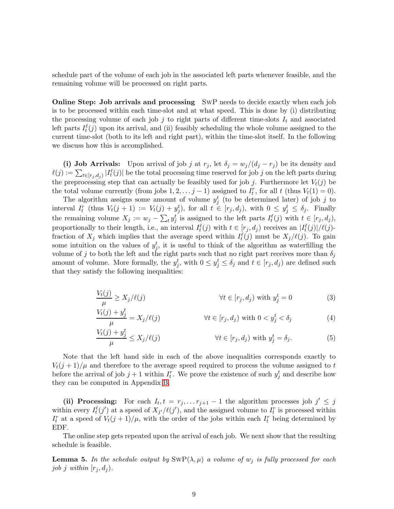schedule part of the volume of each job in the associated left parts whenever feasible, and the remaining volume will be processed on right parts.

Online Step: Job arrivals and processing SwP needs to decide exactly when each job is to be processed within each time-slot and at what speed. This is done by (i) distributing the processing volume of each job j to right parts of different time-slots  $I_t$  and associated left parts  $I_t^{\ell}(j)$  upon its arrival, and (ii) feasibly scheduling the whole volume assigned to the current time-slot (both to its left and right part), within the time-slot itself. In the following we discuss how this is accomplished.

(i) Job Arrivals: Upon arrival of job j at  $r_j$ , let  $\delta_j = w_j/(d_j - r_j)$  be its density and  $\ell(j) := \sum_{t \in [r_j, d_j]} |I_t^{\ell}(j)|$  be the total processing time reserved for job j on the left parts during the preprocessing step that can actually be feasibly used for job j. Furthermore let  $V_t(j)$  be the total volume currently (from jobs  $1, 2, \ldots j-1$ ) assigned to  $I_t^r$ , for all t (thus  $V_t(1) = 0$ ).

The algorithm assigns some amount of volume  $y_j^t$  (to be determined later) of job j to interval  $I_t^r$  (thus  $V_t(j + 1) := V_t(j) + y_j^t$ ), for all  $t \in [r_j, d_j)$ , with  $0 \le y_j^t \le \delta_j$ . Finally the remaining volume  $X_j := w_j - \sum_t y_j^t$  is assigned to the left parts  $I_t^{\ell}(j)$  with  $t \in [r_j, d_j)$ , proportionally to their length, i.e., an interval  $I_t^{\ell}(j)$  with  $t \in [r_j, d_j)$  receives an  $|I_t^{\ell}(j)|/\ell(j)$ fraction of  $X_j$  which implies that the average speed within  $I_t^{\ell}(j)$  must be  $X_j/\ell(j)$ . To gain some intuition on the values of  $y_j^t$ , it is useful to think of the algorithm as waterfilling the volume of j to both the left and the right parts such that no right part receives more than  $\delta_j$ amount of volume. More formally, the  $y_j^t$ , with  $0 \le y_j^t \le \delta_j$  and  $t \in [r_j, d_j)$  are defined such that they satisfy the following inequalities:

$$
\frac{V_t(j)}{\mu} \ge X_j/\ell(j) \qquad \forall t \in [r_j, d_j) \text{ with } y_j^t = 0 \tag{3}
$$

<span id="page-8-1"></span><span id="page-8-0"></span>
$$
\frac{V_t(j) + y_j^t}{\mu} = X_j/\ell(j) \qquad \forall t \in [r_j, d_j) \text{ with } 0 < y_j^t < \delta_j \tag{4}
$$

<span id="page-8-2"></span>
$$
\frac{V_t(j) + y_j^t}{\mu} \le X_j/\ell(j) \qquad \forall t \in [r_j, d_j) \text{ with } y_j^t = \delta_j. \tag{5}
$$

Note that the left hand side in each of the above inequalities corresponds exactly to  $V_t(j+1)/\mu$  and therefore to the average speed required to process the volume assigned to t before the arrival of job  $j+1$  within  $I_t^r$ . We prove the existence of such  $y_j^t$  and describe how they can be computed in Appendix [B.](#page-22-0)

(ii) Processing: For each  $I_t, t = r_j, \ldots r_{j+1} - 1$  the algorithm processes job  $j' \leq j$ within every  $I_t^{\ell}(j')$  at a speed of  $X_{j'}/\ell(j')$ , and the assigned volume to  $I_t^r$  is processed within  $I_t^r$  at a speed of  $V_t(j+1)/\mu$ , with the order of the jobs within each  $I_t^r$  being determined by EDF.

The online step gets repeated upon the arrival of each job. We next show that the resulting schedule is feasible.

**Lemma 5.** In the schedule output by  $SWP(\lambda, \mu)$  *a volume of*  $w_j$  *is fully processed for each job j within*  $[r_i, d_j)$ *.*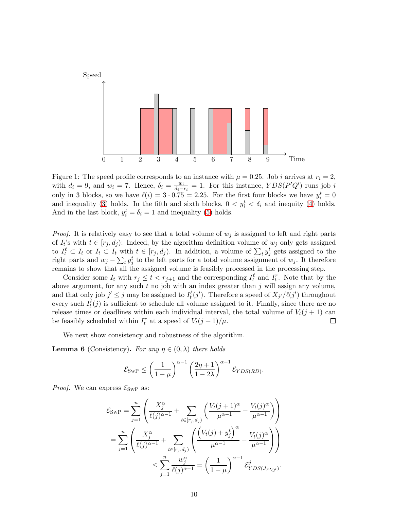

Figure 1: The speed profile corresponds to an instance with  $\mu = 0.25$ . Job *i* arrives at  $r_i = 2$ , with  $d_i = 9$ , and  $w_i = 7$ . Hence,  $\delta_i = \frac{w_i}{d_i - 1}$  $\frac{w_i}{d_i - r_i} = 1$ . For this instance,  $YDS(P'Q')$  runs job i only in 3 blocks, so we have  $\ell(i) = 3 \cdot 0.75 = 2.25$ . For the first four blocks we have  $y_i^t = 0$ and inequality [\(3\)](#page-8-0) holds. In the fifth and sixth blocks,  $0 < y_i^t < \delta_i$  and inequity [\(4\)](#page-8-1) holds. And in the last block,  $y_i^t = \delta_i = 1$  and inequality [\(5\)](#page-8-2) holds.

*Proof.* It is relatively easy to see that a total volume of  $w_j$  is assigned to left and right parts of  $I_t$ 's with  $t \in [r_j, d_j)$ : Indeed, by the algorithm definition volume of  $w_j$  only gets assigned to  $I_t^{\ell} \subset I_t$  or  $I_t \subset I_t$  with  $t \in [r_j, d_j)$ . In addition, a volume of  $\sum_t y_j^t$  gets assigned to the right parts and  $w_j - \sum_t y_j^t$  to the left parts for a total volume assignment of  $w_j$ . It therefore remains to show that all the assigned volume is feasibly processed in the processing step.

Consider some  $I_t$  with  $r_j \leq t < r_{j+1}$  and the corresponding  $I_t^{\ell}$  and  $I_t^{\ell}$ . Note that by the above argument, for any such  $t$  no job with an index greater than  $j$  will assign any volume, and that only job  $j' \leq j$  may be assigned to  $I_t^{\ell}(j')$ . Therefore a speed of  $X_{j'}/\ell(j')$  throughout every such  $I_t^{\ell}(j)$  is sufficient to schedule all volume assigned to it. Finally, since there are no release times or deadlines within each individual interval, the total volume of  $V_t(j + 1)$  can be feasibly scheduled within  $I_t^r$  at a speed of  $V_t(j+1)/\mu$ .  $\Box$ 

<span id="page-9-0"></span>We next show consistency and robustness of the algorithm.

**Lemma 6** (Consistency). *For any*  $\eta \in (0, \lambda)$  *there holds* 

$$
\mathcal{E}_{\text{SWP}} \le \left(\frac{1}{1-\mu}\right)^{\alpha-1} \left(\frac{2\eta+1}{1-2\lambda}\right)^{\alpha-1} \mathcal{E}_{YDS(RD)}.
$$

*Proof.* We can express  $\mathcal{E}_{SWP}$  as:

$$
\mathcal{E}_{\text{SWP}} = \sum_{j=1}^{n} \left( \frac{X_j^{\alpha}}{\ell(j)^{\alpha-1}} + \sum_{t \in [r_j, d_j)} \left( \frac{V_t(j+1)^{\alpha}}{\mu^{\alpha-1}} - \frac{V_t(j)^{\alpha}}{\mu^{\alpha-1}} \right) \right)
$$
  

$$
= \sum_{j=1}^{n} \left( \frac{X_j^{\alpha}}{\ell(j)^{\alpha-1}} + \sum_{t \in [r_j, d_j)} \left( \frac{\left( V_t(j) + y_j^t \right)^{\alpha}}{\mu^{\alpha-1}} - \frac{V_t(j)^{\alpha}}{\mu^{\alpha-1}} \right) \right)
$$
  

$$
\leq \sum_{j=1}^{n} \frac{w_j^{\alpha}}{\ell(j)^{\alpha-1}} = \left( \frac{1}{1-\mu} \right)^{\alpha-1} \mathcal{E}_{YDS(J_{P'Q'}}^j).
$$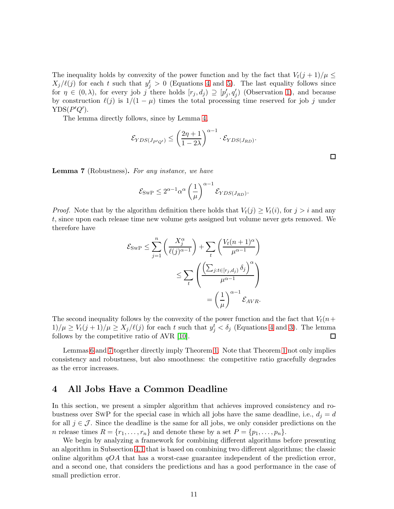The inequality holds by convexity of the power function and by the fact that  $V_t(j+1)/\mu \leq$  $X_j/\ell(j)$  for each t such that  $y_j^t > 0$  (Equations [4](#page-8-1) and [5\)](#page-8-2). The last equality follows since for  $\eta \in (0, \lambda)$ , for every job j there holds  $[r_j, d_j) \supseteq [p'_j, q'_j]$  (Observation [1\)](#page-6-1), and because by construction  $\ell(j)$  is  $1/(1 - \mu)$  times the total processing time reserved for job j under  $YDS(P'Q').$ 

The lemma directly follows, since by Lemma [4,](#page-6-2)

$$
\mathcal{E}_{YDS(J_{P'Q'})} \le \left(\frac{2\eta+1}{1-2\lambda}\right)^{\alpha-1} \cdot \mathcal{E}_{YDS(J_{RD})}.
$$

<span id="page-10-1"></span>Lemma 7 (Robustness). *For any instance, we have*

$$
\mathcal{E}_{\text{SWP}} \leq 2^{\alpha - 1} \alpha^{\alpha} \left(\frac{1}{\mu}\right)^{\alpha - 1} \mathcal{E}_{YDS(J_{RD})}.
$$

*Proof.* Note that by the algorithm definition there holds that  $V_t(j) \geq V_t(i)$ , for  $j > i$  and any t, since upon each release time new volume gets assigned but volume never gets removed. We therefore have

$$
\mathcal{E}_{\text{SWP}} \leq \sum_{j=1}^{n} \left( \frac{X_j^{\alpha}}{\ell(j)^{\alpha-1}} \right) + \sum_{t} \left( \frac{V_t(n+1)^{\alpha}}{\mu^{\alpha-1}} \right)
$$
  

$$
\leq \sum_{t} \left( \frac{\left( \sum_{j:t \in [r_j, d_j)} \delta_j \right)^{\alpha}}{\mu^{\alpha-1}} \right)
$$
  

$$
= \left( \frac{1}{\mu} \right)^{\alpha-1} \mathcal{E}_{AVR}.
$$

The second inequality follows by the convexity of the power function and the fact that  $V_t(n+$  $1/\mu \ge V_t(j+1)/\mu \ge X_j/\ell(j)$  for each t such that  $y_j^t < \delta_j$  (Equations [4](#page-8-1) and [3\)](#page-8-0). The lemma follows by the competitive ratio of AVR [\[10\]](#page-19-1).  $\Box$ 

Lemmas [6](#page-9-0) and [7](#page-10-1) together directly imply Theorem [1.](#page-2-0) Note that Theorem [1](#page-2-0) not only implies consistency and robustness, but also smoothness: the competitive ratio gracefully degrades as the error increases.

# <span id="page-10-0"></span>4 All Jobs Have a Common Deadline

In this section, we present a simpler algorithm that achieves improved consistency and robustness over SwP for the special case in which all jobs have the same deadline, i.e.,  $d_i = d$ for all  $j \in \mathcal{J}$ . Since the deadline is the same for all jobs, we only consider predictions on the *n* release times  $R = \{r_1, \ldots, r_n\}$  and denote these by a set  $P = \{p_1, \ldots, p_n\}.$ 

We begin by analyzing a framework for combining different algorithms before presenting an algorithm in Subsection [4.1](#page-11-0) that is based on combining two different algorithms; the classic online algorithm  $qO A$  that has a worst-case guarantee independent of the prediction error, and a second one, that considers the predictions and has a good performance in the case of small prediction error.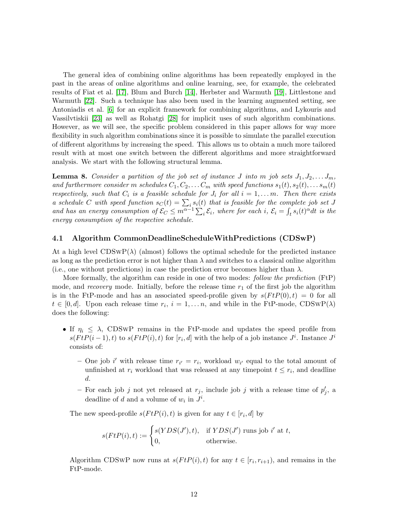The general idea of combining online algorithms has been repeatedly employed in the past in the areas of online algorithms and online learning, see, for example, the celebrated results of Fiat et al. [\[17\]](#page-19-13), Blum and Burch [\[14\]](#page-19-14), Herbster and Warmuth [\[19\]](#page-19-15), Littlestone and Warmuth [\[22\]](#page-20-11). Such a technique has also been used in the learning augmented setting, see Antoniadis et al. [\[6\]](#page-19-8) for an explicit framework for combining algorithms, and Lykouris and Vassilvtiskii [\[23\]](#page-20-3) as well as Rohatgi [\[28\]](#page-20-5) for implicit uses of such algorithm combinations. However, as we will see, the specific problem considered in this paper allows for way more flexibility in such algorithm combinations since it is possible to simulate the parallel execution of different algorithms by increasing the speed. This allows us to obtain a much more tailored result with at most one switch between the different algorithms and more straightforward analysis. We start with the following structural lemma.

<span id="page-11-1"></span>**Lemma 8.** *Consider a partition of the job set of instance* J *into* m *job sets*  $J_1, J_2, \ldots, J_m$ , *and furthermore consider* m *schedules*  $C_1, C_2, \ldots C_m$  *with speed functions*  $s_1(t), s_2(t), \ldots s_m(t)$ *respectively, such that*  $C_i$  *is a feasible schedule for*  $J_i$  *for all*  $i = 1, \ldots, m$ *. Then there exists a* schedule C with speed function  $s_C(t) = \sum_i s_i(t)$  that is feasible for the complete job set J and has an energy consumption of  $\mathcal{E}_C \leq m^{\alpha-1} \sum_i \mathcal{E}_i$ , where for each *i*,  $\mathcal{E}_i = \int_t s_i(t)^\alpha dt$  is the *energy consumption of the respective schedule.*

#### <span id="page-11-0"></span>4.1 Algorithm CommonDeadlineScheduleWithPredictions (CDSwP)

At a high level  $CDSWP(\lambda)$  (almost) follows the optimal schedule for the predicted instance as long as the prediction error is not higher than  $\lambda$  and switches to a classical online algorithm (i.e., one without predictions) in case the prediction error becomes higher than  $\lambda$ .

More formally, the algorithm can reside in one of two modes: *follow the prediction* (FtP) mode, and *recovery* mode. Initially, before the release time  $r_1$  of the first job the algorithm is in the FtP-mode and has an associated speed-profile given by  $s(FtP(0), t) = 0$  for all  $t \in [0, d]$ . Upon each release time  $r_i$ ,  $i = 1, \ldots n$ , and while in the FtP-mode, CDSwP( $\lambda$ ) does the following:

- If  $\eta_i \leq \lambda$ , CDSwP remains in the FtP-mode and updates the speed profile from  $s(FtP(i-1), t)$  to  $s(FtP(i), t)$  for  $[r_i, d]$  with the help of a job instance  $J^i$ . Instance  $J^i$ consists of:
	- One job i' with release time  $r_{i'} = r_i$ , workload  $w_{i'}$  equal to the total amount of unfinished at  $r_i$  workload that was released at any timepoint  $t \leq r_i$ , and deadline d.
	- For each job j not yet released at  $r_j$ , include job j with a release time of  $p'_j$ , a deadline of d and a volume of  $w_i$  in  $J^i$ .

The new speed-profile  $s(FtP(i), t)$  is given for any  $t \in [r_i, d]$  by

$$
s(FtP(i), t) := \begin{cases} s(YDS(J'), t), & \text{if } YDS(J') \text{ runs job } i' \text{ at } t, \\ 0, & \text{otherwise.} \end{cases}
$$

Algorithm CDSWP now runs at  $s(FtP(i), t)$  for any  $t \in [r_i, r_{i+1})$ , and remains in the FtP-mode.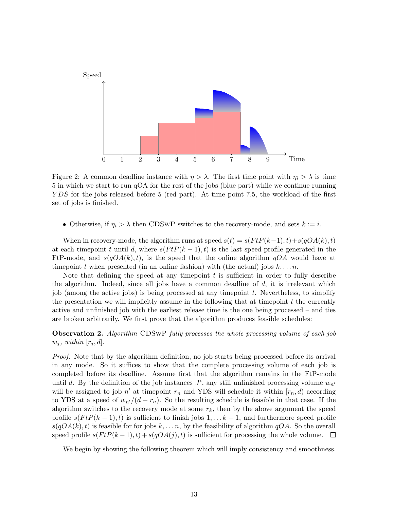

Figure 2: A common deadline instance with  $\eta > \lambda$ . The first time point with  $\eta_i > \lambda$  is time 5 in which we start to run qOA for the rest of the jobs (blue part) while we continue running YDS for the jobs released before 5 (red part). At time point 7.5, the workload of the first set of jobs is finished.

• Otherwise, if  $\eta_i > \lambda$  then CDSwP switches to the recovery-mode, and sets  $k := i$ .

When in recovery-mode, the algorithm runs at speed  $s(t) = s(FtP(k-1), t) + s(qOA(k), t)$ at each time point t until d, where  $s(FtP(k-1), t)$  is the last speed-profile generated in the FtP-mode, and  $s(qOA(k), t)$ , is the speed that the online algorithm  $qOA$  would have at time point t when presented (in an online fashion) with (the actual) jobs  $k, \ldots n$ .

Note that defining the speed at any timepoint  $t$  is sufficient in order to fully describe the algorithm. Indeed, since all jobs have a common deadline of  $d$ , it is irrelevant which job (among the active jobs) is being processed at any timepoint  $t$ . Nevertheless, to simplify the presentation we will implicitly assume in the following that at timepoint  $t$  the currently active and unfinished job with the earliest release time is the one being processed – and ties are broken arbitrarily. We first prove that the algorithm produces feasible schedules:

Observation 2. *Algorithm* CDSwP *fully processes the whole processing volume of each job*  $w_j$ *, within*  $[r_j, d]$ *.* 

*Proof.* Note that by the algorithm definition, no job starts being processed before its arrival in any mode. So it suffices to show that the complete processing volume of each job is completed before its deadline. Assume first that the algorithm remains in the FtP-mode until d. By the definition of the job instances  $J^i$ , any still unfinished processing volume  $w_{n'}$ will be assigned to job  $n'$  at timepoint  $r_n$  and YDS will schedule it within  $[r_n, d)$  according to YDS at a speed of  $w_{n'}/(d - r_n)$ . So the resulting schedule is feasible in that case. If the algorithm switches to the recovery mode at some  $r_k$ , then by the above argument the speed profile  $s(FtP(k-1), t)$  is sufficient to finish jobs 1, ...  $k-1$ , and furthermore speed profile  $s(qOA(k), t)$  is feasible for for jobs  $k, \ldots n$ , by the feasibility of algorithm  $qOA$ . So the overall speed profile  $s(FtP(k-1), t) + s(qOA(j), t)$  is sufficient for processing the whole volume.  $\Box$ 

<span id="page-12-0"></span>We begin by showing the following theorem which will imply consistency and smoothness.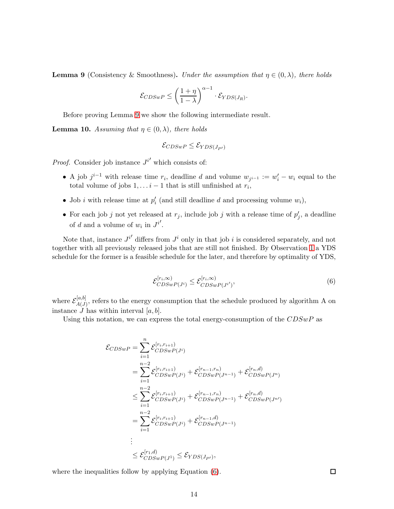**Lemma 9** (Consistency & Smoothness). *Under the assumption that*  $\eta \in (0, \lambda)$ *, there holds* 

$$
\mathcal{E}_{CDSwP} \le \left(\frac{1+\eta}{1-\lambda}\right)^{\alpha-1} \cdot \mathcal{E}_{YDS(J_R)}.
$$

<span id="page-13-1"></span>Before proving Lemma [9](#page-12-0) we show the following intermediate result.

**Lemma 10.** Assuming that  $\eta \in (0, \lambda)$ , there holds

$$
\mathcal{E}_{CDSwP} \leq \mathcal{E}_{YDS(J_{P'})}
$$

*Proof.* Consider job instance  $J^{i'}$  which consists of:

- A job  $j^{i-1}$  with release time  $r_i$ , deadline d and volume  $w_{j^{i-1}} := w'_i w_i$  equal to the total volume of jobs  $1, \ldots i-1$  that is still unfinished at  $r_i$ ,
- Job *i* with release time at  $p'_i$  (and still deadline *d* and processing volume  $w_i$ ),
- For each job j not yet released at  $r_j$ , include job j with a release time of  $p'_j$ , a deadline of d and a volume of  $w_i$  in  $J^{i'}$ .

Note that, instance  $J^{i'}$  differs from  $J^i$  only in that job i is considered separately, and not together with all previously released jobs that are still not finished. By Observation [1](#page-6-1) a YDS schedule for the former is a feasible schedule for the later, and therefore by optimality of YDS,

<span id="page-13-0"></span>
$$
\mathcal{E}_{CDSwP(J^i)}^{[r_i,\infty)} \leq \mathcal{E}_{CDSwP(J^{i'})}^{[r_i,\infty)},\tag{6}
$$

where  ${\cal E}_{A(~I)}^{[a,b]}$  $A(J)$ , refers to the energy consumption that the schedule produced by algorithm A on instance  $J$  has within interval  $[a, b]$ .

Using this notation, we can express the total energy-consumption of the  $CDSwP$  as

$$
\mathcal{E}_{CDSwP} = \sum_{i=1}^{n} \mathcal{E}_{CDSwP(j^{i})}^{[r_{i},r_{i+1})}
$$
\n
$$
= \sum_{i=1}^{n-2} \mathcal{E}_{CDSwP(j^{i})}^{[r_{i},r_{i+1})} + \mathcal{E}_{CDSwP(j^{n-1})}^{[r_{n-1},r_{n})} + \mathcal{E}_{CDSwP(j^{n})}^{[r_{n},d)}
$$
\n
$$
\leq \sum_{i=1}^{n-2} \mathcal{E}_{CDSwP(j^{i})}^{[r_{i},r_{i+1})} + \mathcal{E}_{CDSwP(j^{n-1})}^{[r_{n-1},r_{n})} + \mathcal{E}_{CDSwP(j^{n})}^{[r_{n},d]}
$$
\n
$$
= \sum_{i=1}^{n-2} \mathcal{E}_{CDSwP(j^{i})}^{[r_{i},r_{i+1})} + \mathcal{E}_{CDSwP(j^{n-1})}^{[r_{n-1},d]}
$$
\n
$$
\vdots
$$
\n
$$
\leq \mathcal{E}_{CDSwP(j^{1})}^{[r_{1},d]} \leq \mathcal{E}_{YDS(J_{P'})},
$$

where the inequalities follow by applying Equation  $(6)$ .

 $\Box$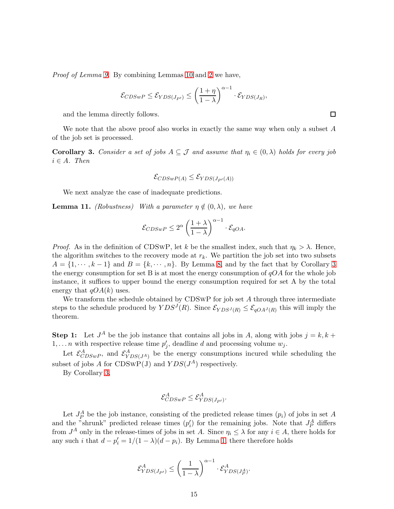*Proof of Lemma [9.](#page-12-0)* By combining Lemmas [10](#page-13-1) and [2](#page-6-3) we have,

$$
\mathcal{E}_{CDSwP} \leq \mathcal{E}_{YDS(J_{P'})} \leq \left(\frac{1+\eta}{1-\lambda}\right)^{\alpha-1} \cdot \mathcal{E}_{YDS(J_R)},
$$

and the lemma directly follows.

<span id="page-14-0"></span>We note that the above proof also works in exactly the same way when only a subset  $A$ of the job set is processed.

**Corollary 3.** Consider a set of jobs  $A \subseteq \mathcal{J}$  and assume that  $\eta_i \in (0, \lambda)$  holds for every job  $i \in A$ *. Then* 

$$
\mathcal{E}_{CDSwP(A)} \leq \mathcal{E}_{YDS(J_{P'}(A))}
$$

<span id="page-14-1"></span>We next analyze the case of inadequate predictions.

**Lemma 11.** *(Robustness)* With a parameter  $\eta \notin (0, \lambda)$ , we have

$$
\mathcal{E}_{CDSwP} \le 2^{\alpha} \left(\frac{1+\lambda}{1-\lambda}\right)^{\alpha-1} \cdot \mathcal{E}_{qOA}.
$$

*Proof.* As in the definition of CDSwP, let k be the smallest index, such that  $\eta_k > \lambda$ . Hence, the algorithm switches to the recovery mode at  $r_k$ . We partition the job set into two subsets  $A = \{1, \dots, k-1\}$  and  $B = \{k, \dots, n\}$ . By Lemma [8,](#page-11-1) and by the fact that by Corollary [3](#page-14-0) the energy consumption for set B is at most the energy consumption of  $qOA$  for the whole job instance, it suffices to upper bound the energy consumption required for set A by the total energy that  $qOA(k)$  uses.

We transform the schedule obtained by CDSwP for job set A through three intermediate steps to the schedule produced by  $YDS^{J}(R)$ . Since  $\mathcal{E}_{YDS^{J}(R)} \leq \mathcal{E}_{qOA^{J}(R)}$  this will imply the theorem.

**Step 1:** Let  $J^A$  be the job instance that contains all jobs in A, along with jobs  $j = k, k + 1$  $1, \ldots n$  with respective release time  $p'_j$ , deadline d and processing volume  $w_j$ .

Let  $\mathcal{E}^A_{CDSwP}$ , and  $\mathcal{E}^A_{YDS(J^A)}$  be the energy consumptions incured while scheduling the subset of jobs A for CDSWP(J) and  $YDS(J^A)$  respectively.

By Corollary [3,](#page-14-0)

$$
\mathcal{E}_{CDSwP}^A \leq \mathcal{E}_{YDS(J_{P'})}^A.
$$

Let  $J_P^A$  be the job instance, consisting of the predicted release times  $(p_i)$  of jobs in set A and the "shrunk" predicted release times  $(p'_i)$  for the remaining jobs. Note that  $J_P^A$  differs from  $J^A$  only in the release-times of jobs in set A. Since  $\eta_i \leq \lambda$  for any  $i \in A$ , there holds for any such *i* that  $d - p'_i = 1/(1 - \lambda)(d - p_i)$ . By Lemma [1,](#page-5-1) there therefore holds

$$
\mathcal{E}_{YDS(J_{P'})}^A \le \left(\frac{1}{1-\lambda}\right)^{\alpha-1} \cdot \mathcal{E}_{YDS(J_P^A)}^A.
$$

 $\Box$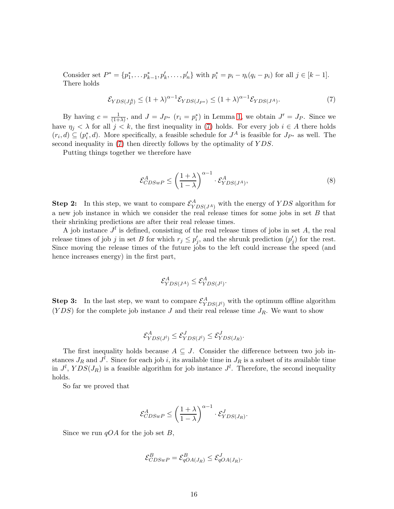Consider set  $P^* = \{p_1^*, \ldots p_{k-1}^*, p_k', \ldots, p_n'\}$  with  $p_i^* = p_i - \eta_i(q_i - p_i)$  for all  $j \in [k-1]$ . There holds

$$
\mathcal{E}_{YDS(J_P^A)} \le (1+\lambda)^{\alpha-1} \mathcal{E}_{YDS(J_{P^*})} \le (1+\lambda)^{\alpha-1} \mathcal{E}_{YDS(J^A)}.
$$
\n<sup>(7)</sup>

By having  $c = \frac{1}{1 + \frac{1}{1}}$  $\frac{1}{(1+\lambda)}$ , and  $J = J_{P^*}$   $(r_i = p_i^*)$  in Lemma [1,](#page-5-1) we obtain  $J' = J_P$ . Since we have  $\eta_j < \lambda$  for all  $j < k$ , the first inequality in [\(7\)](#page-15-0) holds. For every job  $i \in A$  there holds  $(r_i, d) \subseteq (p_i^*, d)$ . More specifically, a feasible schedule for  $J^A$  is feasible for  $J_{P^*}$  as well. The second inequality in [\(7\)](#page-15-0) then directly follows by the optimality of YDS.

Putting things together we therefore have

<span id="page-15-0"></span>
$$
\mathcal{E}_{CDSwP}^{A} \le \left(\frac{1+\lambda}{1-\lambda}\right)^{\alpha-1} \cdot \mathcal{E}_{YDS(J^A)}^{A},\tag{8}
$$

**Step 2:** In this step, we want to compare  $\mathcal{E}_{YDS(J^A)}^A$  with the energy of YDS algorithm for a new job instance in which we consider the real release times for some jobs in set B that their shrinking predictions are after their real release times.

A job instance  $J<sup>l</sup>$  is defined, consisting of the real release times of jobs in set A, the real release times of job j in set B for which  $r_j \leq p'_j$ , and the shrunk prediction  $(p'_j)$  for the rest. Since moving the release times of the future jobs to the left could increase the speed (and hence increases energy) in the first part,

$$
\mathcal{E}_{YDS(J^A)}^A \leq \mathcal{E}_{YDS(J^l)}^A.
$$

**Step 3:** In the last step, we want to compare  $\mathcal{E}_{YDS(J^l)}^A$  with the optimum offline algorithm  $(YDS)$  for the complete job instance J and their real release time  $J_R$ . We want to show

$$
\mathcal{E}_{YDS(J^l)}^A \leq \mathcal{E}_{YDS(J^l)}^J \leq \mathcal{E}_{YDS(J_R)}^J.
$$

The first inequality holds because  $A \subseteq J$ . Consider the difference between two job instances  $J_R$  and  $J^l$ . Since for each job i, its available time in  $J_R$  is a subset of its available time in  $J^l$ ,  $YDS(J_R)$  is a feasible algorithm for job instance  $J^l$ . Therefore, the second inequality holds.

So far we proved that

$$
\mathcal{E}_{CDSwP}^A \le \left(\frac{1+\lambda}{1-\lambda}\right)^{\alpha-1} \cdot \mathcal{E}_{YDS(J_R)}^J.
$$

Since we run  $qOA$  for the job set B,

$$
\mathcal{E}_{CDSwP}^B = \mathcal{E}_{qOA(J_R)}^B \leq \mathcal{E}_{qOA(J_R)}^J.
$$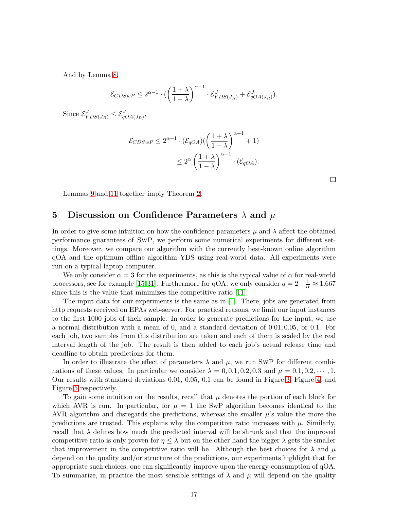And by Lemma [8,](#page-11-1)

$$
\mathcal{E}_{CDSwP} \leq 2^{\alpha-1} \cdot \left( \left( \frac{1+\lambda}{1-\lambda} \right)^{\alpha-1} \cdot \mathcal{E}_{YDS(J_R)}^J + \mathcal{E}_{qOA(J_R)}^J \right).
$$

Since  $\mathcal{E}_{YDS(J_R)}^J \leq \mathcal{E}_{qOA(J_R)}^J$ ,

$$
\mathcal{E}_{CDSwP} \le 2^{\alpha - 1} \cdot (\mathcal{E}_{qOA}) \left( \left( \frac{1 + \lambda}{1 - \lambda} \right)^{\alpha - 1} + 1 \right) \\
\le 2^{\alpha} \left( \frac{1 + \lambda}{1 - \lambda} \right)^{\alpha - 1} \cdot (\mathcal{E}_{qOA}).
$$

Lemmas [9](#page-12-0) and [11](#page-14-1) together imply Theorem [2.](#page-2-1)

# <span id="page-16-0"></span>5 Discussion on Confidence Parameters  $\lambda$  and  $\mu$

In order to give some intuition on how the confidence parameters  $\mu$  and  $\lambda$  affect the obtained performance guarantees of SwP, we perform some numerical experiments for different settings. Moreover, we compare our algorithm with the currently best-known online algorithm qOA and the optimum offline algorithm YDS using real-world data. All experiments were run on a typical laptop computer.

We only consider  $\alpha = 3$  for the experiments, as this is the typical value of  $\alpha$  for real-world processors, see for example [\[15,](#page-19-0)[31\]](#page-20-1). Furthermore for qOA, we only consider  $q = 2 - \frac{1}{\alpha} \approx 1.667$ since this is the value that minimizes the competitive ratio [\[11\]](#page-19-3).

The input data for our experiments is the same as in [1]. There, jobs are generated from http requests received on EPAs web-server. For practical reasons, we limit our input instances to the first 1000 jobs of their sample. In order to generate predictions for the input, we use a normal distribution with a mean of 0, and a standard deviation of 0.01, 0.05, or 0.1. For each job, two samples from this distribution are taken and each of them is scaled by the real interval length of the job. The result is then added to each job's actual release time and deadline to obtain predictions for them.

In order to illustrate the effect of parameters  $\lambda$  and  $\mu$ , we run SwP for different combinations of these values. In particular we consider  $\lambda = 0, 0.1, 0.2, 0.3$  and  $\mu = 0.1, 0.2, \cdots, 1$ . Our results with standard deviations 0.01, 0.05, 0.1 can be found in Figure [3,](#page-17-0) Figure [4,](#page-17-1) and Figure [5](#page-18-3) respectively.

To gain some intuition on the results, recall that  $\mu$  denotes the portion of each block for which AVR is run. In particular, for  $\mu = 1$  the SwP algorithm becomes identical to the AVR algorithm and disregards the predictions, whereas the smaller  $\mu$ 's value the more the predictions are trusted. This explains why the competitive ratio increases with  $\mu$ . Similarly, recall that  $\lambda$  defines how much the predicted interval will be shrunk and that the improved competitive ratio is only proven for  $\eta \leq \lambda$  but on the other hand the bigger  $\lambda$  gets the smaller that improvement in the competitive ratio will be. Although the best choices for  $\lambda$  and  $\mu$ depend on the quality and/or structure of the predictions, our experiments highlight that for appropriate such choices, one can significantly improve upon the energy-consumption of qOA. To summarize, in practice the most sensible settings of  $\lambda$  and  $\mu$  will depend on the quality

 $\Box$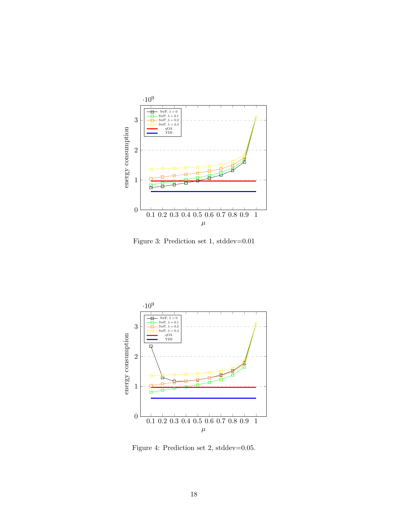

<span id="page-17-0"></span>Figure 3: Prediction set 1, stddev=0.01



<span id="page-17-1"></span>Figure 4: Prediction set 2, stddev=0.05.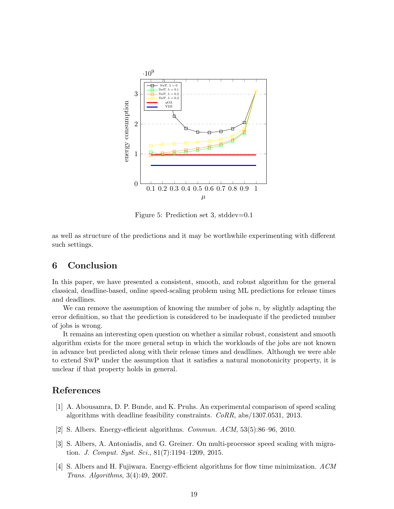

<span id="page-18-3"></span>Figure 5: Prediction set 3, stddev=0.1

as well as structure of the predictions and it may be worthwhile experimenting with different such settings.

# 6 Conclusion

In this paper, we have presented a consistent, smooth, and robust algorithm for the general classical, deadline-based, online speed-scaling problem using ML predictions for release times and deadlines.

We can remove the assumption of knowing the number of jobs  $n$ , by slightly adapting the error definition, so that the prediction is considered to be inadequate if the predicted number of jobs is wrong.

It remains an interesting open question on whether a similar robust, consistent and smooth algorithm exists for the more general setup in which the workloads of the jobs are not known in advance but predicted along with their release times and deadlines. Although we were able to extend SwP under the assumption that it satisfies a natural monotonicity property, it is unclear if that property holds in general.

# References

- [1] A. Abousamra, D. P. Bunde, and K. Pruhs. An experimental comparison of speed scaling algorithms with deadline feasibility constraints. *CoRR*, abs/1307.0531, 2013.
- <span id="page-18-2"></span><span id="page-18-0"></span>[2] S. Albers. Energy-efficient algorithms. *Commun. ACM*, 53(5):86–96, 2010.
- [3] S. Albers, A. Antoniadis, and G. Greiner. On multi-processor speed scaling with migration. *J. Comput. Syst. Sci.*, 81(7):1194–1209, 2015.
- <span id="page-18-1"></span>[4] S. Albers and H. Fujiwara. Energy-efficient algorithms for flow time minimization. *ACM Trans. Algorithms*, 3(4):49, 2007.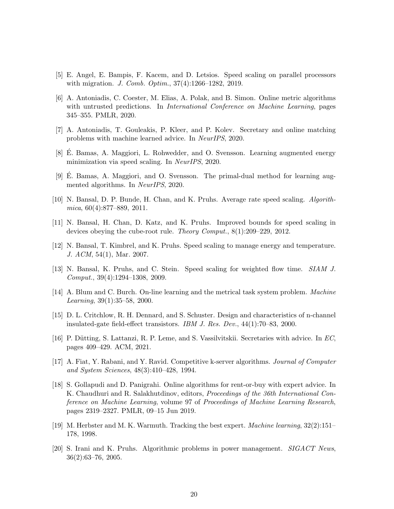- <span id="page-19-8"></span><span id="page-19-5"></span>[5] E. Angel, E. Bampis, F. Kacem, and D. Letsios. Speed scaling on parallel processors with migration. *J. Comb. Optim.*, 37(4):1266–1282, 2019.
- [6] A. Antoniadis, C. Coester, M. Elias, A. Polak, and B. Simon. Online metric algorithms with untrusted predictions. In *International Conference on Machine Learning*, pages 345–355. PMLR, 2020.
- <span id="page-19-10"></span><span id="page-19-4"></span>[7] A. Antoniadis, T. Gouleakis, P. Kleer, and P. Kolev. Secretary and online matching problems with machine learned advice. In *NeurIPS*, 2020.
- <span id="page-19-12"></span>[8] E. Bamas, A. Maggiori, L. Rohwedder, and O. Svensson. Learning augmented energy minimization via speed scaling. In *NeurIPS*, 2020.
- <span id="page-19-1"></span> $[9]$  E. Bamas, A. Maggiori, and O. Svensson. The primal-dual method for learning augmented algorithms. In *NeurIPS*, 2020.
- [10] N. Bansal, D. P. Bunde, H. Chan, and K. Pruhs. Average rate speed scaling. *Algorithmica*, 60(4):877–889, 2011.
- <span id="page-19-3"></span>[11] N. Bansal, H. Chan, D. Katz, and K. Pruhs. Improved bounds for speed scaling in devices obeying the cube-root rule. *Theory Comput.*, 8(1):209–229, 2012.
- <span id="page-19-6"></span><span id="page-19-2"></span>[12] N. Bansal, T. Kimbrel, and K. Pruhs. Speed scaling to manage energy and temperature. *J. ACM*, 54(1), Mar. 2007.
- <span id="page-19-14"></span>[13] N. Bansal, K. Pruhs, and C. Stein. Speed scaling for weighted flow time. *SIAM J. Comput.*, 39(4):1294–1308, 2009.
- [14] A. Blum and C. Burch. On-line learning and the metrical task system problem. *Machine Learning*, 39(1):35–58, 2000.
- <span id="page-19-0"></span>[15] D. L. Critchlow, R. H. Dennard, and S. Schuster. Design and characteristics of n-channel insulated-gate field-effect transistors. *IBM J. Res. Dev.*, 44(1):70–83, 2000.
- <span id="page-19-13"></span><span id="page-19-11"></span>[16] P. D¨utting, S. Lattanzi, R. P. Leme, and S. Vassilvitskii. Secretaries with advice. In *EC*, pages 409–429. ACM, 2021.
- <span id="page-19-9"></span>[17] A. Fiat, Y. Rabani, and Y. Ravid. Competitive k-server algorithms. *Journal of Computer and System Sciences*, 48(3):410–428, 1994.
- [18] S. Gollapudi and D. Panigrahi. Online algorithms for rent-or-buy with expert advice. In K. Chaudhuri and R. Salakhutdinov, editors, *Proceedings of the 36th International Conference on Machine Learning*, volume 97 of *Proceedings of Machine Learning Research*, pages 2319–2327. PMLR, 09–15 Jun 2019.
- <span id="page-19-15"></span>[19] M. Herbster and M. K. Warmuth. Tracking the best expert. *Machine learning*, 32(2):151– 178, 1998.
- <span id="page-19-7"></span>[20] S. Irani and K. Pruhs. Algorithmic problems in power management. *SIGACT News*, 36(2):63–76, 2005.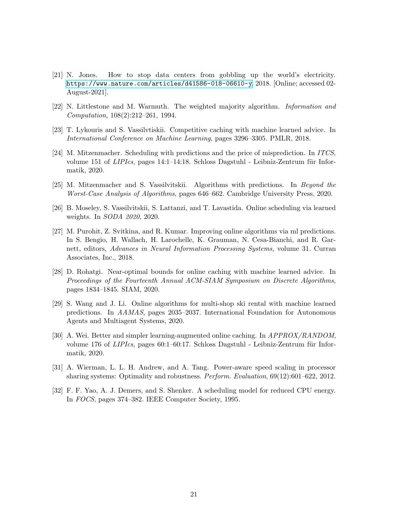- <span id="page-20-0"></span>[21] N. Jones. How to stop data centers from gobbling up the world's electricity. <https://www.nature.com/articles/d41586-018-06610-y>, 2018. [Online; accessed 02- August-2021].
- <span id="page-20-11"></span><span id="page-20-3"></span>[22] N. Littlestone and M. Warmuth. The weighted majority algorithm. *Information and Computation*, 108(2):212–261, 1994.
- <span id="page-20-8"></span>[23] T. Lykouris and S. Vassilvtiskii. Competitive caching with machine learned advice. In *International Conference on Machine Learning*, pages 3296–3305. PMLR, 2018.
- [24] M. Mitzenmacher. Scheduling with predictions and the price of misprediction. In *ITCS*, volume 151 of *LIPIcs*, pages 14:1–14:18. Schloss Dagstuhl - Leibniz-Zentrum für Informatik, 2020.
- <span id="page-20-10"></span><span id="page-20-9"></span>[25] M. Mitzenmacher and S. Vassilvitskii. Algorithms with predictions. In *Beyond the Worst-Case Analysis of Algorithms*, pages 646–662. Cambridge University Press, 2020.
- <span id="page-20-4"></span>[26] B. Moseley, S. Vassilvitskii, S. Lattanzi, and T. Lavastida. Online scheduling via learned weights. In *SODA 2020*, 2020.
- [27] M. Purohit, Z. Svitkina, and R. Kumar. Improving online algorithms via ml predictions. In S. Bengio, H. Wallach, H. Larochelle, K. Grauman, N. Cesa-Bianchi, and R. Garnett, editors, *Advances in Neural Information Processing Systems*, volume 31. Curran Associates, Inc., 2018.
- <span id="page-20-5"></span>[28] D. Rohatgi. Near-optimal bounds for online caching with machine learned advice. In *Proceedings of the Fourteenth Annual ACM-SIAM Symposium on Discrete Algorithms*, pages 1834–1845. SIAM, 2020.
- <span id="page-20-7"></span>[29] S. Wang and J. Li. Online algorithms for multi-shop ski rental with machine learned predictions. In *AAMAS*, pages 2035–2037. International Foundation for Autonomous Agents and Multiagent Systems, 2020.
- <span id="page-20-6"></span>[30] A. Wei. Better and simpler learning-augmented online caching. In *APPROX/RANDOM*, volume 176 of *LIPIcs*, pages 60:1–60:17. Schloss Dagstuhl - Leibniz-Zentrum für Informatik, 2020.
- <span id="page-20-2"></span><span id="page-20-1"></span>[31] A. Wierman, L. L. H. Andrew, and A. Tang. Power-aware speed scaling in processor sharing systems: Optimality and robustness. *Perform. Evaluation*, 69(12):601–622, 2012.
- [32] F. F. Yao, A. J. Demers, and S. Shenker. A scheduling model for reduced CPU energy. In *FOCS*, pages 374–382. IEEE Computer Society, 1995.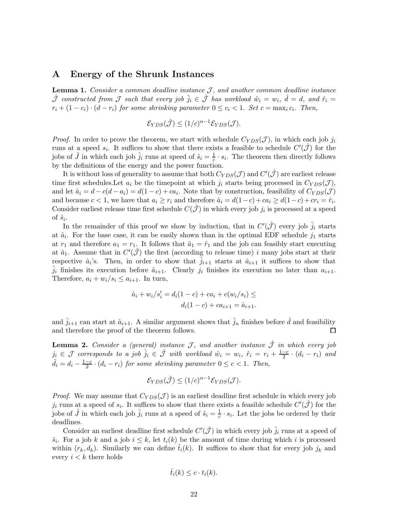### A Energy of the Shrunk Instances

Lemma 1. *Consider a common deadline instance*  $J$ *, and another common deadline instance*  $\hat{\mathcal{J}}$  constructed from  $\mathcal J$  such that every job  $\hat{j}_i \in \hat{\mathcal{J}}$  has workload  $\hat{w}_i = w_i$ ,  $\hat{d} = d$ , and  $\hat{r}_i =$  $r_i + (1 - c_i) \cdot (d - r_i)$  for some shrinking parameter  $0 \le c_i < 1$ . Set  $c = \max_i c_i$ . Then,

$$
\mathcal{E}_{YDS}(\hat{\mathcal{J}}) \le (1/c)^{\alpha - 1} \mathcal{E}_{YDS}(\mathcal{J}).
$$

*Proof.* In order to prove the theorem, we start with schedule  $C_{YDS}(\mathcal{J})$ , in which each job  $j_i$ runs at a speed  $s_i$ . It suffices to show that there exists a feasible to schedule  $C'(\hat{\mathcal{J}})$  for the jobs of  $\hat{J}$  in which each job  $\hat{j}_i$  runs at speed of  $\hat{s}_i = \frac{1}{c}$  $\frac{1}{c} \cdot s_i$ . The theorem then directly follows by the definitions of the energy and the power function.

It is without loss of generality to assume that both  $C_{YDS}(\mathcal{J})$  and  $C'(\hat{\mathcal{J}})$  are earliest release time first schedules. Let  $a_i$  be the timepoint at which  $j_i$  starts being processed in  $C_{YDS}(\mathcal{J})$ , and let  $\hat{a}_i = d - c(d - a_i) = d(1 - c) + ca_i$ . Note that by construction, feasibility of  $C_{YDS}(\mathcal{J})$ and because  $c < 1$ , we have that  $a_i \ge r_i$  and therefore  $\hat{a}_i = d(1-c) + ca_i \ge d(1-c) + cr_i = \hat{r}_i$ . Consider earliest release time first schedule  $C(\hat{J})$  in which every job  $j_i$  is processed at a speed of  $\hat{s}_i$ .

In the remainder of this proof we show by induction, that in  $C'(\hat{J})$  every job  $\hat{j}_i$  starts at  $\hat{a}_i$ . For the base case, it can be easily shown than in the optimal EDF schedule  $j_1$  starts at  $r_1$  and therefore  $a_1 = r_1$ . It follows that  $\hat{a}_1 = \hat{r}_1$  and the job can feasibly start executing at  $\hat{a}_1$ . Assume that in  $C'(\hat{\mathcal{J}})$  the first (according to release time) i many jobs start at their respective  $\hat{a}_i$ 's. Then, in order to show that  $\hat{j}_{i+1}$  starts at  $\hat{a}_{i+1}$  it suffices to show that  $j_i$  finishes its execution before  $\hat{a}_{i+1}$ . Clearly  $j_i$  finishes its execution no later than  $a_{i+1}$ . Therefore,  $a_i + w_i / s_i \leq a_{i+1}$ . In turn,

$$
\hat{a}_i + w_i/s_i' = d_i(1-c) + ca_i + c(w_i/s_i) \le
$$
  

$$
d_i(1-c) + ca_{i+1} = \hat{a}_{i+1}.
$$

and  $\hat{j}_{i+1}$  can start at  $\hat{a}_{i+1}$ . A similar argument shows that  $\hat{j}_n$  finishes before  $\hat{d}$  and feasibility and therefore the proof of the theorem follows. П

**Lemma 2.** *Consider a (general) instance*  $\mathcal{J}$ *, and another instance*  $\hat{\mathcal{J}}$  *in which every job*  $j_i \in \mathcal{J}$  corresponds to a job  $\hat{j}_i \in \hat{\mathcal{J}}$  with workload  $\hat{w}_i = w_i$ ,  $\hat{r}_i = r_i + \frac{1-c_i}{2}$  $\frac{-c}{2} \cdot (d_i - r_i)$  and  $\hat{d}_i = d_i - \frac{1-c}{2}$  $\frac{-c}{2} \cdot (d_i - r_i)$  *for some shrinking parameter*  $0 \leq c < 1$ *. Then,* 

$$
\mathcal{E}_{YDS}(\hat{\mathcal{J}}) \le (1/c)^{\alpha - 1} \mathcal{E}_{YDS}(\mathcal{J}).
$$

*Proof.* We may assume that  $C_{YDS}(\mathcal{J})$  is an earliest deadline first schedule in which every job  $j_i$  runs at a speed of  $s_i$ . It suffices to show that there exists a feasible schedule  $C'(\hat{\mathcal{J}})$  for the jobs of  $\hat{J}$  in which each job  $\hat{j}_i$  runs at a speed of  $\hat{s}_i = \frac{1}{c}$  $\frac{1}{c} \cdot s_i$ . Let the jobs be ordered by their deadlines.

Consider an earliest deadline first schedule  $C'(\hat{J})$  in which every job  $\hat{j}_i$  runs at a speed of  $\hat{s}_i$ . For a job k and a job  $i \leq k$ , let  $t_i(k)$  be the amount of time during which i is processed within  $(r_k, d_k)$ . Similarly we can define  $\hat{t}_i(k)$ . It suffices to show that for every job  $j_k$  and every  $i < k$  there holds

$$
\hat{t}_i(k) \leq c \cdot t_i(k).
$$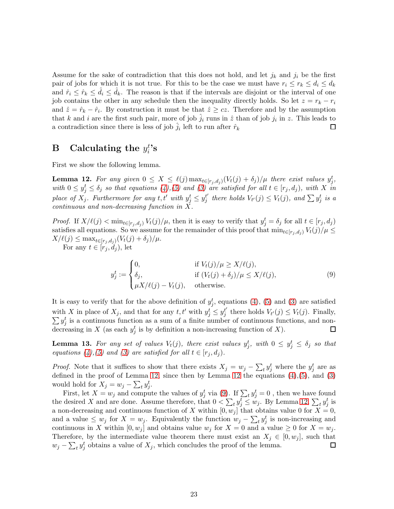Assume for the sake of contradiction that this does not hold, and let  $j_k$  and  $j_i$  be the first pair of jobs for which it is not true. For this to be the case we must have  $r_i \le r_k \le d_i \le d_k$ and  $\hat{r}_i \leq \hat{r}_k \leq d_i \leq d_k$ . The reason is that if the intervals are disjoint or the interval of one job contains the other in any schedule then the inequality directly holds. So let  $z = r_k - r_i$ and  $\hat{z} = \hat{r}_k - \hat{r}_i$ . By construction it must be that  $\hat{z} \geq cz$ . Therefore and by the assumption that k and i are the first such pair, more of job  $\hat{j}_i$  runs in  $\hat{z}$  than of job  $j_i$  in z. This leads to a contradiction since there is less of job  $\hat{j}_i$  left to run after  $\hat{r}_k$  $\Box$ 

#### <span id="page-22-0"></span> $\, {\bf B} \, \quad {\bf Calculating \, \, the} \, \, y_i^t$  $_i^{t}$ 's

<span id="page-22-1"></span>First we show the following lemma.

**Lemma 12.** For any given  $0 \leq X \leq \ell(j) \max_{t \in [r_j, d_j)} (V_t(j) + \delta_j) / \mu$  there exist values  $y_j^t$ , with  $0 \le y_j^t \le \delta_j$  so that equations [\(4\)](#page-8-1), [\(5\)](#page-8-2) and [\(3\)](#page-8-0) are satisfied for all  $t \in [r_j, d_j)$ , with X in *place of*  $X_j$ *. Furthermore for any*  $t, t'$  *with*  $y_j^t \leq y_j^{t'}$  $y_j^{t'}$  there holds  $V_{t'}(j) \leq V_t(j)$ , and  $\sum y_j^{t}$  is a *continuous and non-decreasing function in* X*.*

*Proof.* If  $X/\ell(j) < \min_{t \in [r_j, d_j)} V_t(j)/\mu$ , then it is easy to verify that  $y_j^t = \delta_j$  for all  $t \in [r_j, d_j)$ satisfies all equations. So we assume for the remainder of this proof that  $\min_{t\in[r_j, d_j]} V_t(j)/\mu \leq$  $X/\ell(j) \leq \max_{t \in [r_j,d_j)} (V_t(j) + \delta_j)/\mu.$ 

For any  $t \in [r_j, d_j)$ , let

<span id="page-22-2"></span>
$$
y_j^t := \begin{cases} 0, & \text{if } V_t(j)/\mu \ge X/\ell(j), \\ \delta_j, & \text{if } (V_t(j) + \delta_j)/\mu \le X/\ell(j), \\ \mu X/\ell(j) - V_t(j), & \text{otherwise.} \end{cases} \tag{9}
$$

It is easy to verify that for the above definition of  $y_j^t$ , equations [\(4\)](#page-8-1), [\(5\)](#page-8-2) and [\(3\)](#page-8-0) are satisfied with X in place of  $X_j$ , and that for any  $t, t'$  with  $y_j^t \leq y_j^{t'}$  $j'$  there holds  $V_{t'}(j) \leq V_t(j)$ . Finally,  $\sum y_j^t$  is a continuous function as a sum of a finite number of continuous functions, and nondecreasing in X (as each  $y_j^t$  is by definition a non-increasing function of X).  $\Box$ 

<span id="page-22-3"></span>**Lemma 13.** For any set of values  $V_t(j)$ , there exist values  $y_j^t$ , with  $0 \le y_j^t \le \delta_j$  so that *equations* [\(4\)](#page-8-1), [\(5\)](#page-8-2) and [\(3\)](#page-8-0) are satisfied for all  $t \in [r_j, d_j)$ .

*Proof.* Note that it suffices to show that there exists  $X_j = w_j - \sum_t y_j^t$  where the  $y_j^t$  are as defined in the proof of Lemma [12,](#page-22-1) since then by Lemma [12](#page-22-1) the equations  $(4)$ , $(5)$ , and  $(3)$ would hold for  $X_j = w_j - \sum_t y_j^t$ .

First, let  $X = w_j$  and compute the values of  $y_j^t$  via [\(9\)](#page-22-2). If  $\sum_t y_j^t = 0$  , then we have found the desired X and are done. Assume therefore, that  $0 < \sum_t y_j^t \leq w_j$ . By Lemma [12,](#page-22-1)  $\sum_t y_j^t$  is a non-decreasing and continuous function of X within  $[0, w_j]$  that obtains value 0 for  $X = 0$ , and a value  $\leq w_j$  for  $X = w_j$ . Equivalently the function  $w_j - \sum_t y_j^t$  is non-increasing and continuous in X within  $[0, w_j]$  and obtains value  $w_j$  for  $X = 0$  and a value  $\geq 0$  for  $X = w_j$ . Therefore, by the intermediate value theorem there must exist an  $X_j \in [0, w_j]$ , such that  $w_j - \sum_t y_j^t$  obtains a value of  $X_j$ , which concludes the proof of the lemma.  $\Box$